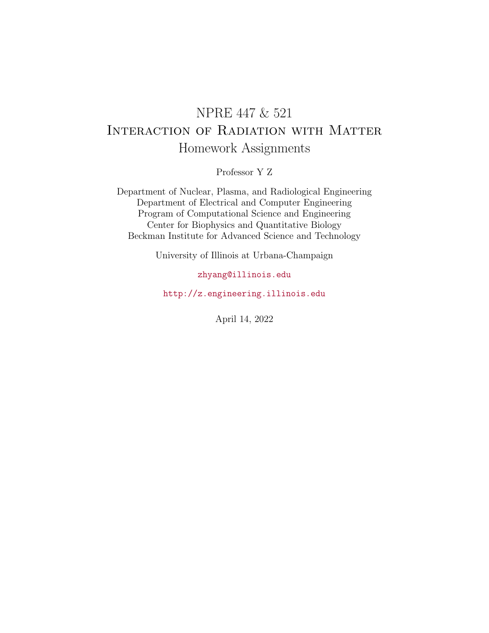# NPRE 447 & 521 Interaction of Radiation with Matter Homework Assignments

Professor Y Z

Department of Nuclear, Plasma, and Radiological Engineering Department of Electrical and Computer Engineering Program of Computational Science and Engineering Center for Biophysics and Quantitative Biology Beckman Institute for Advanced Science and Technology

University of Illinois at Urbana-Champaign

### [zhyang@illinois.edu](mailto:zhyang@illinois.edu)

<http://z.engineering.illinois.edu>

April 14, 2022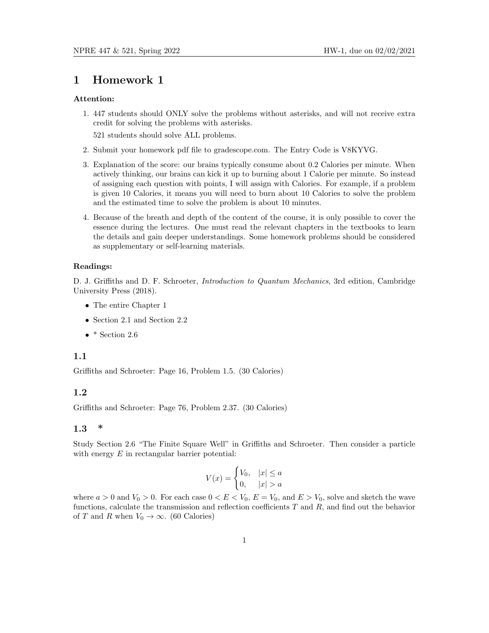#### Attention:

1. 447 students should ONLY solve the problems without asterisks, and will not receive extra credit for solving the problems with asterisks.

521 students should solve ALL problems.

- 2. Submit your homework pdf file to gradescope.com. The Entry Code is V8KYVG.
- 3. Explanation of the score: our brains typically consume about 0.2 Calories per minute. When actively thinking, our brains can kick it up to burning about 1 Calorie per minute. So instead of assigning each question with points, I will assign with Calories. For example, if a problem is given 10 Calories, it means you will need to burn about 10 Calories to solve the problem and the estimated time to solve the problem is about 10 minutes.
- 4. Because of the breath and depth of the content of the course, it is only possible to cover the essence during the lectures. One must read the relevant chapters in the textbooks to learn the details and gain deeper understandings. Some homework problems should be considered as supplementary or self-learning materials.

#### Readings:

D. J. Griffiths and D. F. Schroeter, Introduction to Quantum Mechanics, 3rd edition, Cambridge University Press (2018).

- The entire Chapter 1
- Section 2.1 and Section 2.2
- $\bullet$  \* Section 2.6

#### 1.1

Griffiths and Schroeter: Page 16, Problem 1.5. (30 Calories)

#### 1.2

Griffiths and Schroeter: Page 76, Problem 2.37. (30 Calories)

### 1.3 \*

Study Section 2.6 "The Finite Square Well" in Griffiths and Schroeter. Then consider a particle with energy  $E$  in rectangular barrier potential:

$$
V(x) = \begin{cases} V_0, & |x| \le a \\ 0, & |x| > a \end{cases}
$$

where  $a > 0$  and  $V_0 > 0$ . For each case  $0 < E < V_0$ ,  $E = V_0$ , and  $E > V_0$ , solve and sketch the wave functions, calculate the transmission and reflection coefficients  $T$  and  $R$ , and find out the behavior of T and R when  $V_0 \rightarrow \infty$ . (60 Calories)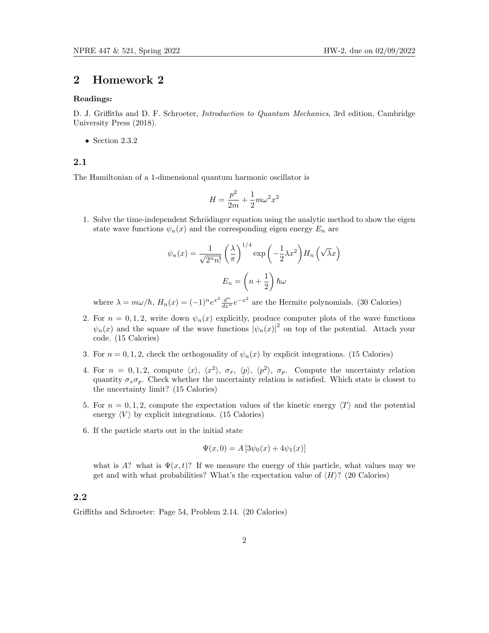#### Readings:

D. J. Griffiths and D. F. Schroeter, *Introduction to Quantum Mechanics*, 3rd edition, Cambridge University Press (2018).

• Section  $2.3.2$ 

#### 2.1

The Hamiltonian of a 1-dimensional quantum harmonic oscillator is

$$
H = \frac{p^2}{2m} + \frac{1}{2}m\omega^2 x^2
$$

1. Solve the time-independent Schrödinger equation using the analytic method to show the eigen state wave functions  $\psi_n(x)$  and the corresponding eigen energy  $E_n$  are

$$
\psi_n(x) = \frac{1}{\sqrt{2^n n!}} \left(\frac{\lambda}{\pi}\right)^{1/4} \exp\left(-\frac{1}{2}\lambda x^2\right) H_n\left(\sqrt{\lambda}x\right)
$$

$$
E_n = \left(n + \frac{1}{2}\right) \hbar \omega
$$

where  $\lambda = m\omega/\hbar$ ,  $H_n(x) = (-1)^n e^{x^2} \frac{d^n}{dx^n} e^{-x^2}$  are the Hermite polynomials. (30 Calories)

- 2. For  $n = 0, 1, 2$ , write down  $\psi_n(x)$  explicitly, produce computer plots of the wave functions  $\psi_n(x)$  and the square of the wave functions  $|\psi_n(x)|^2$  on top of the potential. Attach your code. (15 Calories)
- 3. For  $n = 0, 1, 2$ , check the orthogonality of  $\psi_n(x)$  by explicit integrations. (15 Calories)
- 4. For  $n = 0, 1, 2$ , compute  $\langle x \rangle$ ,  $\langle x^2 \rangle$ ,  $\sigma_x$ ,  $\langle p \rangle$ ,  $\langle p^2 \rangle$ ,  $\sigma_p$ . Compute the uncertainty relation quantity  $\sigma_x \sigma_p$ . Check whether the uncertainty relation is satisfied. Which state is closest to the uncertainty limit? (15 Calories)
- 5. For  $n = 0, 1, 2$ , compute the expectation values of the kinetic energy  $\langle T \rangle$  and the potential energy  $\langle V \rangle$  by explicit integrations. (15 Calories)
- 6. If the particle starts out in the initial state

$$
\Psi(x,0) = A [3\psi_0(x) + 4\psi_1(x)]
$$

what is A? what is  $\Psi(x,t)$ ? If we measure the energy of this particle, what values may we get and with what probabilities? What's the expectation value of  $\langle H \rangle$ ? (20 Calories)

### 2.2

Griffiths and Schroeter: Page 54, Problem 2.14. (20 Calories)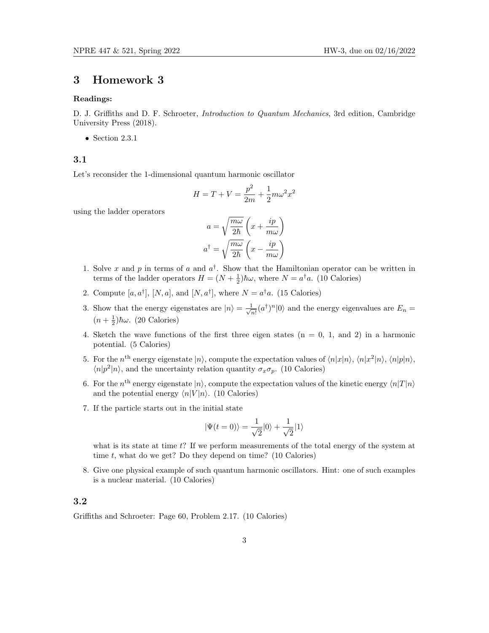#### Readings:

D. J. Griffiths and D. F. Schroeter, *Introduction to Quantum Mechanics*, 3rd edition, Cambridge University Press (2018).

• Section 2.3.1

### 3.1

Let's reconsider the 1-dimensional quantum harmonic oscillator

$$
H = T + V = \frac{p^2}{2m} + \frac{1}{2}m\omega^2 x^2
$$

using the ladder operators

$$
a = \sqrt{\frac{m\omega}{2\hbar}} \left( x + \frac{ip}{m\omega} \right)
$$

$$
a^{\dagger} = \sqrt{\frac{m\omega}{2\hbar}} \left( x - \frac{ip}{m\omega} \right)
$$

- 1. Solve x and p in terms of a and  $a^{\dagger}$ . Show that the Hamiltonian operator can be written in terms of the ladder operators  $H = (N + \frac{1}{2})\hbar\omega$ , where  $N = a^{\dagger}a$ . (10 Calories)
- 2. Compute  $[a, a^{\dagger}], [N, a],$  and  $[N, a^{\dagger}],$  where  $N = a^{\dagger} a$ . (15 Calories)
- 3. Show that the energy eigenstates are  $|n\rangle = \frac{1}{\sqrt{2}}$  $\frac{1}{n!}(a^{\dagger})^n|0\rangle$  and the energy eigenvalues are  $E_n =$  $(n+\frac{1}{2})\hbar\omega$ . (20 Calories)
- 4. Sketch the wave functions of the first three eigen states  $(n = 0, 1, and 2)$  in a harmonic potential. (5 Calories)
- 5. For the  $n^{\text{th}}$  energy eigenstate  $|n\rangle$ , compute the expectation values of  $\langle n|x|n\rangle$ ,  $\langle n|x^2|n\rangle$ ,  $\langle n|p|n\rangle$ ,  $\langle n|p^2|n\rangle$ , and the uncertainty relation quantity  $\sigma_x\sigma_p$ . (10 Calories)
- 6. For the  $n^{\text{th}}$  energy eigenstate  $|n\rangle$ , compute the expectation values of the kinetic energy  $\langle n|T|n\rangle$ and the potential energy  $\langle n|V|n\rangle$ . (10 Calories)
- 7. If the particle starts out in the initial state

$$
|\Psi(t=0)\rangle = \frac{1}{\sqrt{2}}|0\rangle + \frac{1}{\sqrt{2}}|1\rangle
$$

what is its state at time  $t$ ? If we perform measurements of the total energy of the system at time t, what do we get? Do they depend on time?  $(10 \text{ Calories})$ 

8. Give one physical example of such quantum harmonic oscillators. Hint: one of such examples is a nuclear material. (10 Calories)

#### 3.2

Griffiths and Schroeter: Page 60, Problem 2.17. (10 Calories)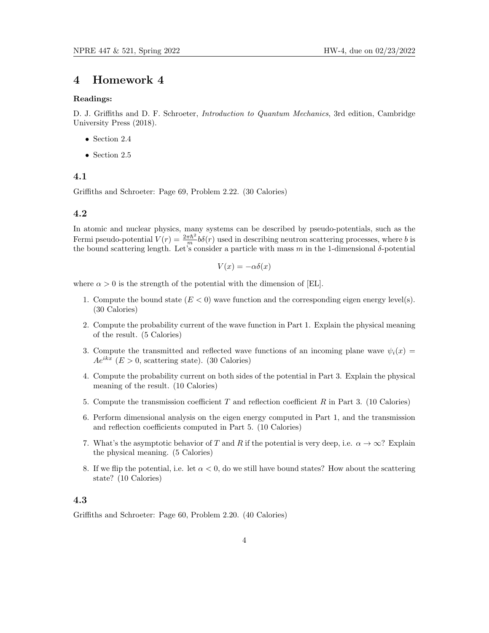#### Readings:

D. J. Griffiths and D. F. Schroeter, *Introduction to Quantum Mechanics*, 3rd edition, Cambridge University Press (2018).

- Section 2.4
- Section 2.5

### 4.1

Griffiths and Schroeter: Page 69, Problem 2.22. (30 Calories)

#### 4.2

In atomic and nuclear physics, many systems can be described by pseudo-potentials, such as the Fermi pseudo-potential  $V(r) = \frac{2\pi\hbar^2}{m} b\delta(r)$  used in describing neutron scattering processes, where b is the bound scattering length. Let's consider a particle with mass m in the 1-dimensional  $\delta$ -potential

$$
V(x) = -\alpha \delta(x)
$$

where  $\alpha > 0$  is the strength of the potential with the dimension of [EL].

- 1. Compute the bound state  $(E < 0)$  wave function and the corresponding eigen energy level(s). (30 Calories)
- 2. Compute the probability current of the wave function in Part 1. Explain the physical meaning of the result. (5 Calories)
- 3. Compute the transmitted and reflected wave functions of an incoming plane wave  $\psi_i(x)$  $Ae^{ikx}$  ( $E > 0$ , scattering state). (30 Calories)
- 4. Compute the probability current on both sides of the potential in Part 3. Explain the physical meaning of the result. (10 Calories)
- 5. Compute the transmission coefficient  $T$  and reflection coefficient  $R$  in Part 3. (10 Calories)
- 6. Perform dimensional analysis on the eigen energy computed in Part 1, and the transmission and reflection coefficients computed in Part 5. (10 Calories)
- 7. What's the asymptotic behavior of T and R if the potential is very deep, i.e.  $\alpha \to \infty$ ? Explain the physical meaning. (5 Calories)
- 8. If we flip the potential, i.e. let  $\alpha < 0$ , do we still have bound states? How about the scattering state? (10 Calories)

#### 4.3

Griffiths and Schroeter: Page 60, Problem 2.20. (40 Calories)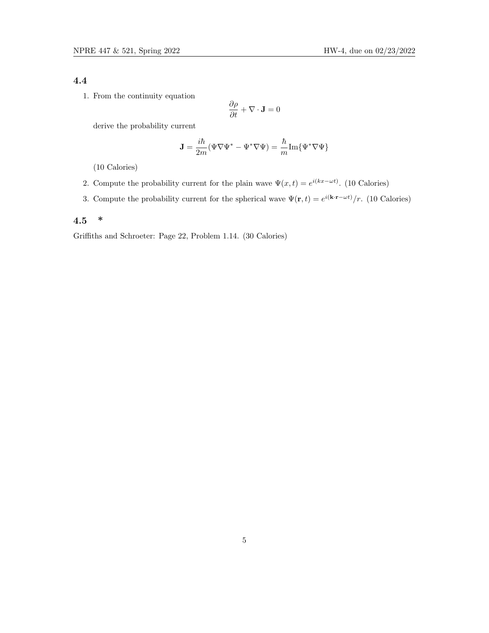### 4.4

1. From the continuity equation

$$
\frac{\partial \rho}{\partial t} + \nabla \cdot \mathbf{J} = 0
$$

derive the probability current

$$
\mathbf{J} = \frac{i\hbar}{2m}(\Psi \nabla \Psi^* - \Psi^* \nabla \Psi) = \frac{\hbar}{m} \text{Im}\{\Psi^* \nabla \Psi\}
$$

(10 Calories)

- 2. Compute the probability current for the plain wave  $\Psi(x,t) = e^{i(kx \omega t)}$ . (10 Calories)
- 3. Compute the probability current for the spherical wave  $\Psi(\mathbf{r},t) = e^{i(\mathbf{k}\cdot\mathbf{r}-\omega t)}/r$ . (10 Calories)

### 4.5 \*

Griffiths and Schroeter: Page 22, Problem 1.14. (30 Calories)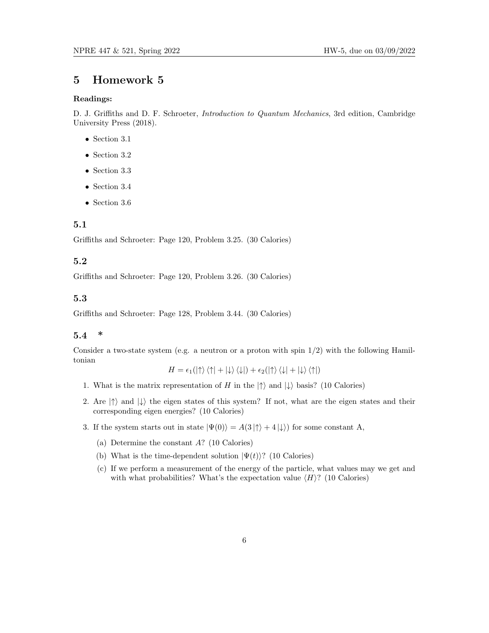#### Readings:

D. J. Griffiths and D. F. Schroeter, *Introduction to Quantum Mechanics*, 3rd edition, Cambridge University Press (2018).

- Section 3.1
- Section 3.2
- Section 3.3
- Section 3.4
- Section 3.6

### 5.1

Griffiths and Schroeter: Page 120, Problem 3.25. (30 Calories)

### 5.2

Griffiths and Schroeter: Page 120, Problem 3.26. (30 Calories)

#### 5.3

Griffiths and Schroeter: Page 128, Problem 3.44. (30 Calories)

#### 5.4 \*

Consider a two-state system (e.g. a neutron or a proton with spin  $1/2$ ) with the following Hamiltonian H = 1(|↑i h↑| + |↓i h↓|) + 2(|↑i h↓| + |↓i h↑|)

$$
H=\epsilon_1(\ket{\uparrow}\bra{\uparrow}+\ket{\downarrow}\bra{\downarrow})+\epsilon_2(\ket{\uparrow}\bra{\downarrow}+\ket{\downarrow}\bra{\uparrow})
$$

- 1. What is the matrix representation of H in the  $|\uparrow\rangle$  and  $|\downarrow\rangle$  basis? (10 Calories)
- 2. Are  $|\uparrow\rangle$  and  $|\downarrow\rangle$  the eigen states of this system? If not, what are the eigen states and their corresponding eigen energies? (10 Calories)
- 3. If the system starts out in state  $|\Psi(0)\rangle = A(3|\uparrow\rangle + 4|\downarrow\rangle)$  for some constant A,
	- (a) Determine the constant A? (10 Calories)
	- (b) What is the time-dependent solution  $|\Psi(t)\rangle$ ? (10 Calories)
	- (c) If we perform a measurement of the energy of the particle, what values may we get and with what probabilities? What's the expectation value  $\langle H \rangle$ ? (10 Calories)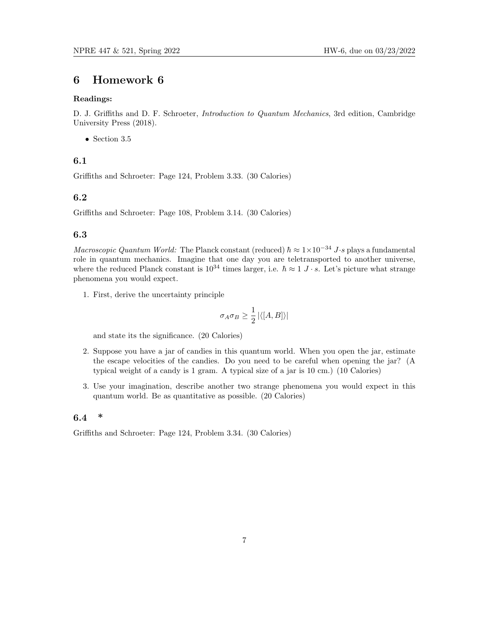#### Readings:

D. J. Griffiths and D. F. Schroeter, Introduction to Quantum Mechanics, 3rd edition, Cambridge University Press (2018).

• Section 3.5

### 6.1

Griffiths and Schroeter: Page 124, Problem 3.33. (30 Calories)

### 6.2

Griffiths and Schroeter: Page 108, Problem 3.14. (30 Calories)

#### 6.3

Macroscopic Quantum World: The Planck constant (reduced)  $\hbar \approx 1 \times 10^{-34}$  J·s plays a fundamental role in quantum mechanics. Imagine that one day you are teletransported to another universe, where the reduced Planck constant is  $10^{34}$  times larger, i.e.  $\hbar \approx 1$  J · s. Let's picture what strange phenomena you would expect.

1. First, derive the uncertainty principle

$$
\sigma_A\sigma_B\geq \frac{1}{2}\left|\langle [A,B]\rangle\right|
$$

and state its the significance. (20 Calories)

- 2. Suppose you have a jar of candies in this quantum world. When you open the jar, estimate the escape velocities of the candies. Do you need to be careful when opening the jar? (A typical weight of a candy is 1 gram. A typical size of a jar is 10 cm.) (10 Calories)
- 3. Use your imagination, describe another two strange phenomena you would expect in this quantum world. Be as quantitative as possible. (20 Calories)

### 6.4 \*

Griffiths and Schroeter: Page 124, Problem 3.34. (30 Calories)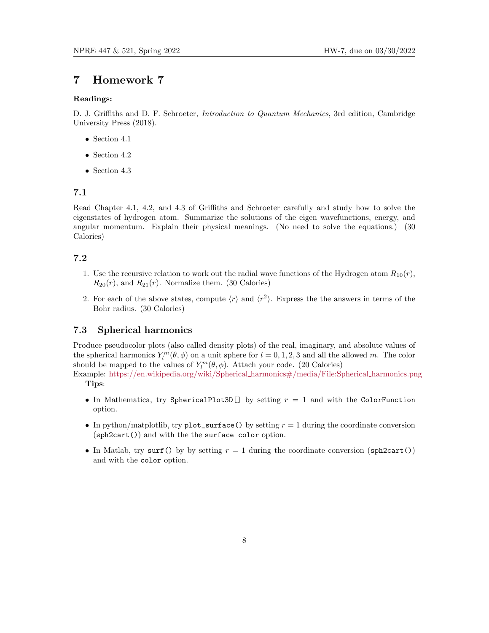#### Readings:

D. J. Griffiths and D. F. Schroeter, *Introduction to Quantum Mechanics*, 3rd edition, Cambridge University Press (2018).

- Section 4.1
- Section 4.2
- Section 4.3

#### 7.1

Read Chapter 4.1, 4.2, and 4.3 of Griffiths and Schroeter carefully and study how to solve the eigenstates of hydrogen atom. Summarize the solutions of the eigen wavefunctions, energy, and angular momentum. Explain their physical meanings. (No need to solve the equations.) (30 Calories)

### 7.2

- 1. Use the recursive relation to work out the radial wave functions of the Hydrogen atom  $R_{10}(r)$ ,  $R_{20}(r)$ , and  $R_{21}(r)$ . Normalize them. (30 Calories)
- 2. For each of the above states, compute  $\langle r \rangle$  and  $\langle r^2 \rangle$ . Express the the answers in terms of the Bohr radius. (30 Calories)

#### 7.3 Spherical harmonics

Produce pseudocolor plots (also called density plots) of the real, imaginary, and absolute values of the spherical harmonics  $Y_l^m(\theta, \phi)$  on a unit sphere for  $l = 0, 1, 2, 3$  and all the allowed m. The color should be mapped to the values of  $Y_l^m(\theta, \phi)$ . Attach your code. (20 Calories)

Example: [https://en.wikipedia.org/wiki/Spherical](https://en.wikipedia.org/wiki/Spherical_harmonics#/media/File:Spherical_harmonics.png) harmonics#/media/File:Spherical harmonics.png Tips:

- In Mathematica, try SphericalPlot3D[] by setting  $r = 1$  and with the ColorFunction option.
- In python/matplotlib, try plot\_surface() by setting  $r = 1$  during the coordinate conversion (sph2cart()) and with the the surface color option.
- In Matlab, try surf() by by setting  $r = 1$  during the coordinate conversion (sph2cart()) and with the color option.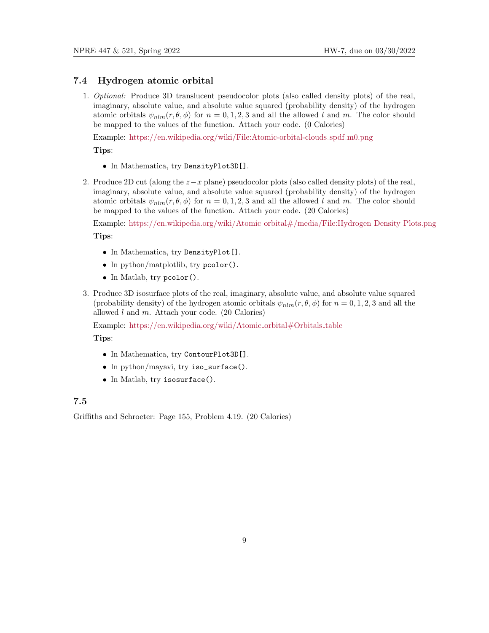### 7.4 Hydrogen atomic orbital

1. Optional: Produce 3D translucent pseudocolor plots (also called density plots) of the real, imaginary, absolute value, and absolute value squared (probability density) of the hydrogen atomic orbitals  $\psi_{nlm}(r, \theta, \phi)$  for  $n = 0, 1, 2, 3$  and all the allowed l and m. The color should be mapped to the values of the function. Attach your code. (0 Calories)

Example: [https://en.wikipedia.org/wiki/File:Atomic-orbital-clouds](https://en.wikipedia.org/wiki/File:Atomic-orbital-clouds_spdf_m0.png) spdf m0.png

Tips:

- In Mathematica, try DensityPlot3D[].
- 2. Produce 2D cut (along the z−x plane) pseudocolor plots (also called density plots) of the real, imaginary, absolute value, and absolute value squared (probability density) of the hydrogen atomic orbitals  $\psi_{nlm}(r, \theta, \phi)$  for  $n = 0, 1, 2, 3$  and all the allowed l and m. The color should be mapped to the values of the function. Attach your code. (20 Calories)

Example: [https://en.wikipedia.org/wiki/Atomic](https://en.wikipedia.org/wiki/Atomic_orbital#/media/File:Hydrogen_Density_Plots.png) orbital#/media/File:Hydrogen Density Plots.png Tips:

- In Mathematica, try DensityPlot[].
- In python/matplotlib, try pcolor().
- In Matlab, try pcolor().
- 3. Produce 3D isosurface plots of the real, imaginary, absolute value, and absolute value squared (probability density) of the hydrogen atomic orbitals  $\psi_{nlm}(r, \theta, \phi)$  for  $n = 0, 1, 2, 3$  and all the allowed  $l$  and  $m$ . Attach your code. (20 Calories)

Example: [https://en.wikipedia.org/wiki/Atomic](https://en.wikipedia.org/wiki/Atomic_orbital#Orbitals_table)\_orbital#Orbitals\_table

Tips:

- In Mathematica, try ContourPlot3D[].
- In python/mayavi, try iso\_surface().
- In Matlab, try isosurface().

### 7.5

Griffiths and Schroeter: Page 155, Problem 4.19. (20 Calories)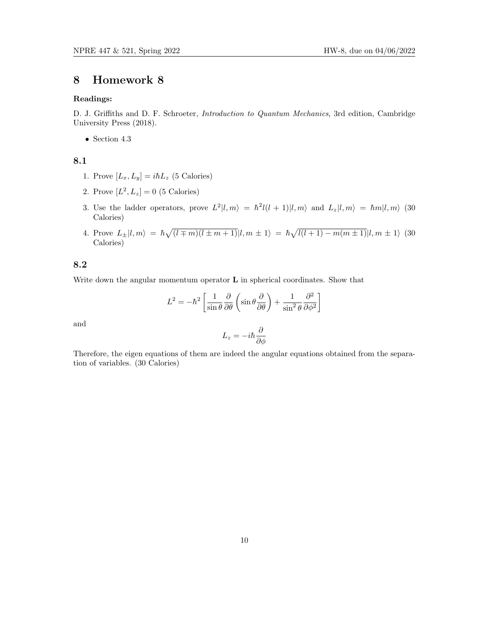#### Readings:

D. J. Griffiths and D. F. Schroeter, Introduction to Quantum Mechanics, 3rd edition, Cambridge University Press (2018).

• Section 4.3

### 8.1

- 1. Prove  $[L_x, L_y] = i\hbar L_z$  (5 Calories)
- 2. Prove  $[L^2, L_z] = 0$  (5 Calories)
- 3. Use the ladder operators, prove  $L^2|l,m\rangle = \hbar^2 l(l+1)|l,m\rangle$  and  $L_z|l,m\rangle = \hbar m|l,m\rangle$  (30 Calories)
- 4. Prove  $L_{\pm}|l,m\rangle = \hbar \sqrt{(l \mp m)(l \pm m + 1)}|l,m \pm 1\rangle = \hbar \sqrt{l(l+1) m(m \pm 1)}|l,m \pm 1\rangle$  (30 Calories)

### 8.2

Write down the angular momentum operator  $L$  in spherical coordinates. Show that

$$
L^{2} = -\hbar^{2} \left[ \frac{1}{\sin \theta} \frac{\partial}{\partial \theta} \left( \sin \theta \frac{\partial}{\partial \theta} \right) + \frac{1}{\sin^{2} \theta} \frac{\partial^{2}}{\partial \phi^{2}} \right]
$$

and

$$
L_z=-i\hbar\frac{\partial}{\partial\phi}
$$

Therefore, the eigen equations of them are indeed the angular equations obtained from the separation of variables. (30 Calories)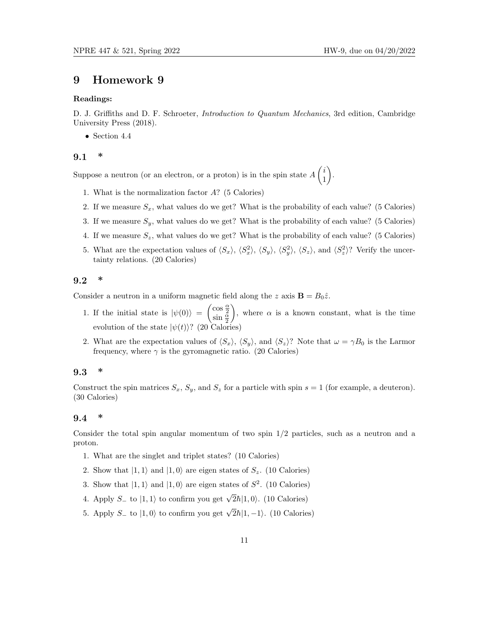.

### 9 Homework 9

#### Readings:

D. J. Griffiths and D. F. Schroeter, *Introduction to Quantum Mechanics*, 3rd edition, Cambridge University Press (2018).

• Section 4.4

#### 9.1 \*

Suppose a neutron (or an electron, or a proton) is in the spin state  $A\begin{pmatrix} i \\ 1 \end{pmatrix}$ 1

- 1. What is the normalization factor A? (5 Calories)
- 2. If we measure  $S_x$ , what values do we get? What is the probability of each value? (5 Calories)
- 3. If we measure  $S_y$ , what values do we get? What is the probability of each value? (5 Calories)
- 4. If we measure  $S_z$ , what values do we get? What is the probability of each value? (5 Calories)
- 5. What are the expectation values of  $\langle S_x \rangle$ ,  $\langle S_x^2 \rangle$ ,  $\langle S_y \rangle$ ,  $\langle S_y^2 \rangle$ ,  $\langle S_z \rangle$ , and  $\langle S_z^2 \rangle$ ? Verify the uncertainty relations. (20 Calories)

#### 9.2 \*

Consider a neutron in a uniform magnetic field along the z axis  $\mathbf{B} = B_0 \hat{z}$ .

- 1. If the initial state is  $|\psi(0)\rangle = \begin{pmatrix} \cos\frac{\alpha}{2} \\ \sin\frac{\alpha}{2} \end{pmatrix}$ ), where  $\alpha$  is a known constant, what is the time evolution of the state  $|\psi(t)\rangle$ ? (20 Calories)
- 2. What are the expectation values of  $\langle S_x \rangle$ ,  $\langle S_y \rangle$ , and  $\langle S_z \rangle$ ? Note that  $\omega = \gamma B_0$  is the Larmor frequency, where  $\gamma$  is the gyromagnetic ratio. (20 Calories)

#### 9.3 \*

Construct the spin matrices  $S_x$ ,  $S_y$ , and  $S_z$  for a particle with spin  $s = 1$  (for example, a deuteron). (30 Calories)

#### 9.4 \*

Consider the total spin angular momentum of two spin 1/2 particles, such as a neutron and a proton.

- 1. What are the singlet and triplet states? (10 Calories)
- 2. Show that  $|1, 1\rangle$  and  $|1, 0\rangle$  are eigen states of  $S_z$ . (10 Calories)
- 3. Show that  $|1,1\rangle$  and  $|1,0\rangle$  are eigen states of  $S^2$ . (10 Calories)
- 4. Apply  $S_-\neq 0$  |1, 1) to confirm you get  $\sqrt{2}\hbar |1,0\rangle$ . (10 Calories)
- 5. Apply  $S_-\neq 0$  (1, 0) to confirm you get  $\sqrt{2}\hbar|1,-1\rangle$ . (10 Calories)